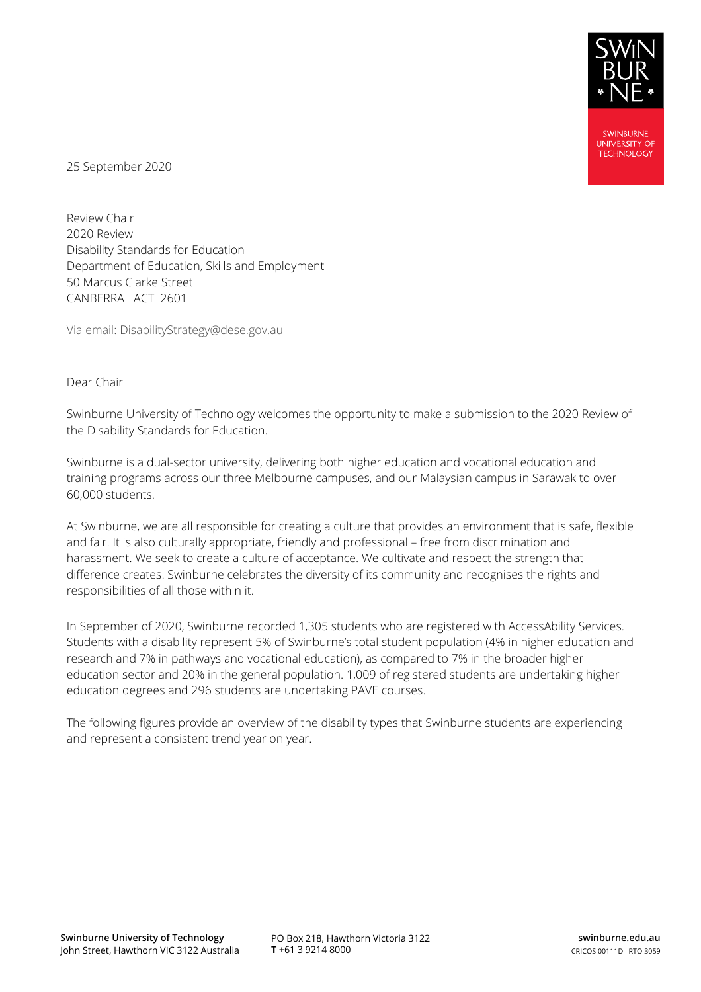

25 September 2020

Review Chair 2020 Review Disability Standards for Education Department of Education, Skills and Employment 50 Marcus Clarke Street CANBERRA ACT 2601

Via email: DisabilityStrategy@dese.gov.au

#### Dear Chair

Swinburne University of Technology welcomes the opportunity to make a submission to the 2020 Review of the Disability Standards for Education.

Swinburne is a dual-sector university, delivering both higher education and vocational education and training programs across our three Melbourne campuses, and our Malaysian campus in Sarawak to over 60,000 students.

At Swinburne, we are all responsible for creating a culture that provides an environment that is safe, flexible and fair. It is also culturally appropriate, friendly and professional – free from discrimination and harassment. We seek to create a culture of acceptance. We cultivate and respect the strength that difference creates. Swinburne celebrates the diversity of its community and recognises the rights and responsibilities of all those within it.

In September of 2020, Swinburne recorded 1,305 students who are registered with AccessAbility Services. Students with a disability represent 5% of Swinburne's total student population (4% in higher education and research and 7% in pathways and vocational education), as compared to 7% in the broader higher education sector and 20% in the general population. 1,009 of registered students are undertaking higher education degrees and 296 students are undertaking PAVE courses.

The following figures provide an overview of the disability types that Swinburne students are experiencing and represent a consistent trend year on year.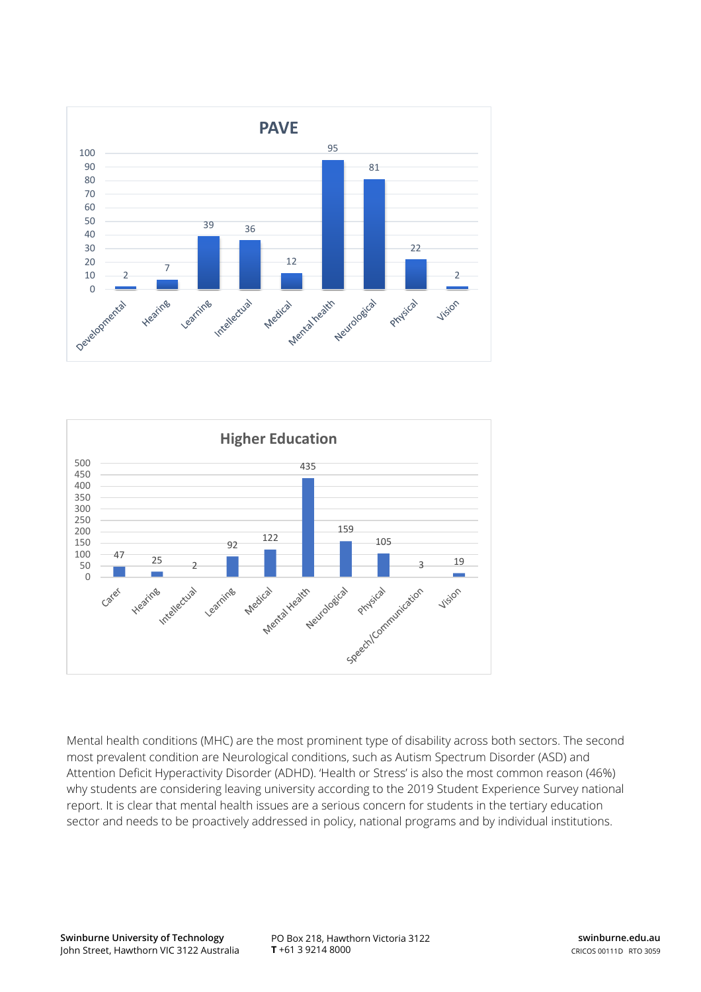



Mental health conditions (MHC) are the most prominent type of disability across both sectors. The second most prevalent condition are Neurological conditions, such as Autism Spectrum Disorder (ASD) and Attention Deficit Hyperactivity Disorder (ADHD). 'Health or Stress' is also the most common reason (46%) why students are considering leaving university according to the 2019 Student Experience Survey national report. It is clear that mental health issues are a serious concern for students in the tertiary education sector and needs to be proactively addressed in policy, national programs and by individual institutions.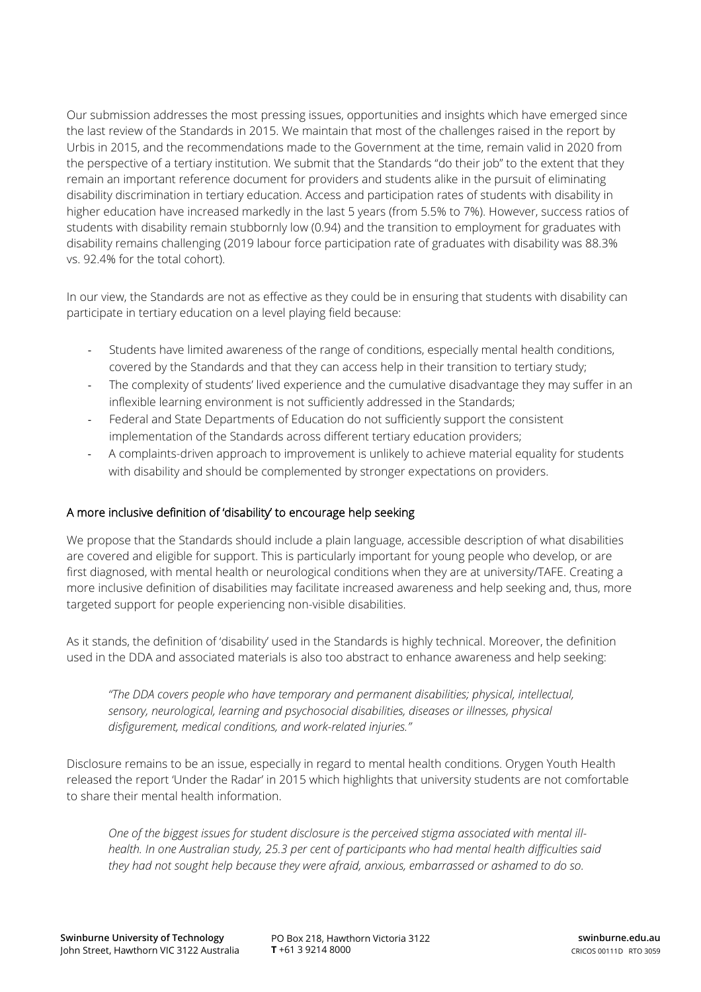Our submission addresses the most pressing issues, opportunities and insights which have emerged since the last review of the Standards in 2015. We maintain that most of the challenges raised in the report by Urbis in 2015, and the recommendations made to the Government at the time, remain valid in 2020 from the perspective of a tertiary institution. We submit that the Standards "do their job" to the extent that they remain an important reference document for providers and students alike in the pursuit of eliminating disability discrimination in tertiary education. Access and participation rates of students with disability in higher education have increased markedly in the last 5 years (from 5.5% to 7%). However, success ratios of students with disability remain stubbornly low (0.94) and the transition to employment for graduates with disability remains challenging (2019 labour force participation rate of graduates with disability was 88.3% vs. 92.4% for the total cohort).

In our view, the Standards are not as effective as they could be in ensuring that students with disability can participate in tertiary education on a level playing field because:

- Students have limited awareness of the range of conditions, especially mental health conditions, covered by the Standards and that they can access help in their transition to tertiary study;
- The complexity of students' lived experience and the cumulative disadvantage they may suffer in an inflexible learning environment is not sufficiently addressed in the Standards;
- Federal and State Departments of Education do not sufficiently support the consistent implementation of the Standards across different tertiary education providers;
- A complaints-driven approach to improvement is unlikely to achieve material equality for students with disability and should be complemented by stronger expectations on providers.

### A more inclusive definition of 'disability' to encourage help seeking

We propose that the Standards should include a plain language, accessible description of what disabilities are covered and eligible for support. This is particularly important for young people who develop, or are first diagnosed, with mental health or neurological conditions when they are at university/TAFE. Creating a more inclusive definition of disabilities may facilitate increased awareness and help seeking and, thus, more targeted support for people experiencing non-visible disabilities.

As it stands, the definition of 'disability' used in the Standards is highly technical. Moreover, the definition used in the DDA and associated materials is also too abstract to enhance awareness and help seeking:

*"The DDA covers people who have temporary and permanent disabilities; physical, intellectual, sensory, neurological, learning and psychosocial disabilities, diseases or illnesses, physical disfigurement, medical conditions, and work-related injuries."*

Disclosure remains to be an issue, especially in regard to mental health conditions. Orygen Youth Health released the report 'Under the Radar' in 2015 which highlights that university students are not comfortable to share their mental health information.

*One of the biggest issues for student disclosure is the perceived stigma associated with mental illhealth. In one Australian study, 25.3 per cent of participants who had mental health difficulties said they had not sought help because they were afraid, anxious, embarrassed or ashamed to do so.*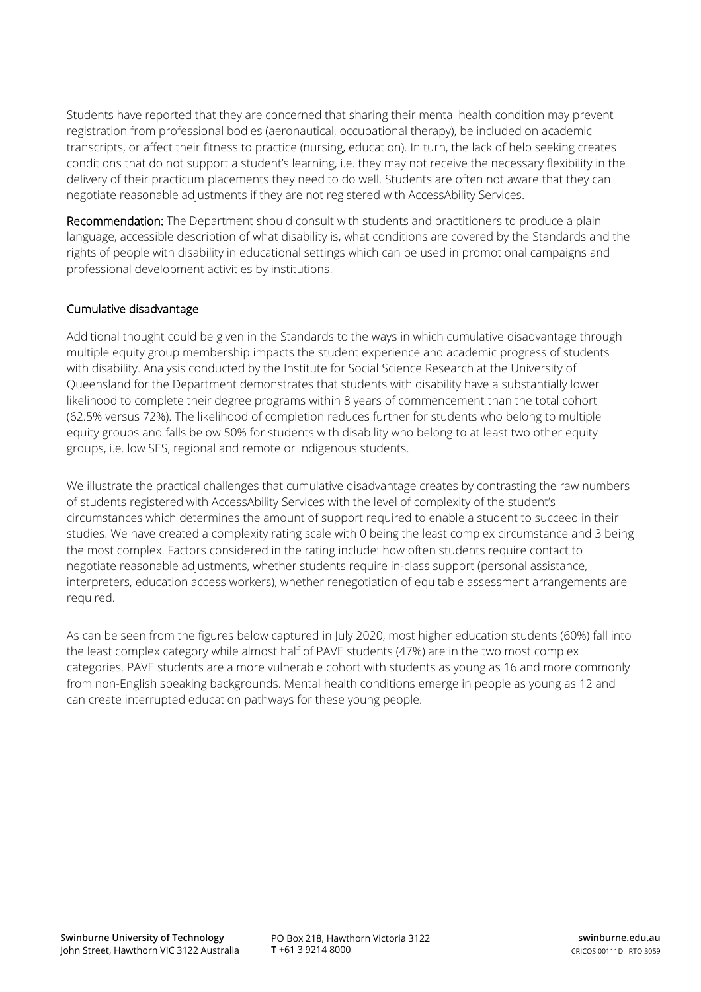Students have reported that they are concerned that sharing their mental health condition may prevent registration from professional bodies (aeronautical, occupational therapy), be included on academic transcripts, or affect their fitness to practice (nursing, education). In turn, the lack of help seeking creates conditions that do not support a student's learning, i.e. they may not receive the necessary flexibility in the delivery of their practicum placements they need to do well. Students are often not aware that they can negotiate reasonable adjustments if they are not registered with AccessAbility Services.

Recommendation: The Department should consult with students and practitioners to produce a plain language, accessible description of what disability is, what conditions are covered by the Standards and the rights of people with disability in educational settings which can be used in promotional campaigns and professional development activities by institutions.

# Cumulative disadvantage

Additional thought could be given in the Standards to the ways in which cumulative disadvantage through multiple equity group membership impacts the student experience and academic progress of students with disability. Analysis conducted by the Institute for Social Science Research at the University of Queensland for the Department demonstrates that students with disability have a substantially lower likelihood to complete their degree programs within 8 years of commencement than the total cohort (62.5% versus 72%). The likelihood of completion reduces further for students who belong to multiple equity groups and falls below 50% for students with disability who belong to at least two other equity groups, i.e. low SES, regional and remote or Indigenous students.

We illustrate the practical challenges that cumulative disadvantage creates by contrasting the raw numbers of students registered with AccessAbility Services with the level of complexity of the student's circumstances which determines the amount of support required to enable a student to succeed in their studies. We have created a complexity rating scale with 0 being the least complex circumstance and 3 being the most complex. Factors considered in the rating include: how often students require contact to negotiate reasonable adjustments, whether students require in-class support (personal assistance, interpreters, education access workers), whether renegotiation of equitable assessment arrangements are required.

As can be seen from the figures below captured in July 2020, most higher education students (60%) fall into the least complex category while almost half of PAVE students (47%) are in the two most complex categories. PAVE students are a more vulnerable cohort with students as young as 16 and more commonly from non-English speaking backgrounds. Mental health conditions emerge in people as young as 12 and can create interrupted education pathways for these young people.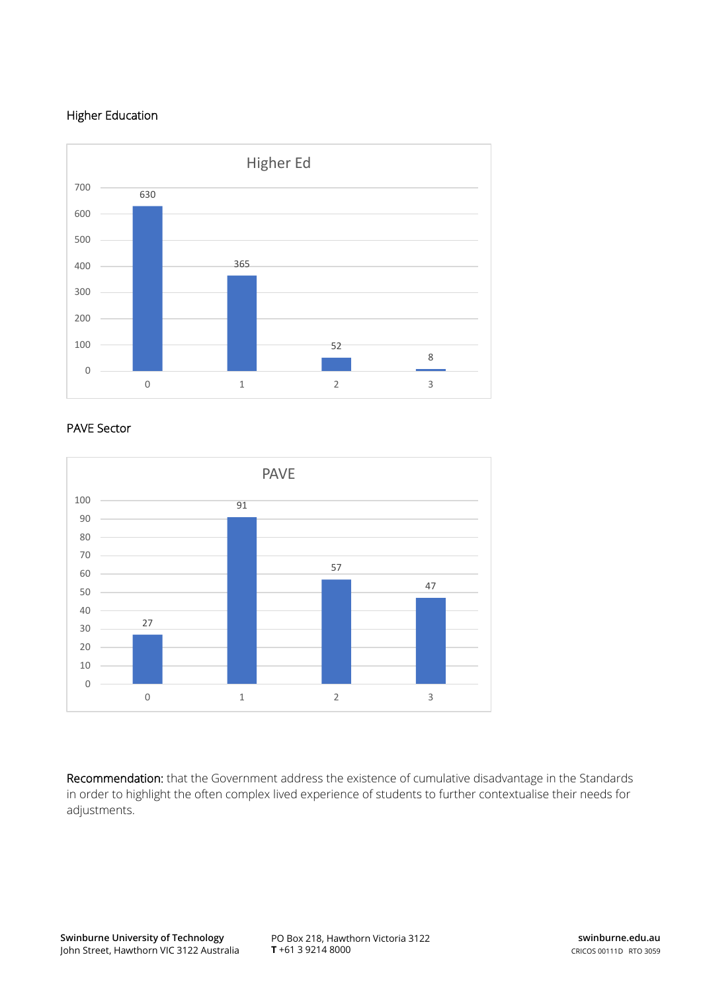# Higher Education



#### PAVE Sector



Recommendation: that the Government address the existence of cumulative disadvantage in the Standards in order to highlight the often complex lived experience of students to further contextualise their needs for adjustments.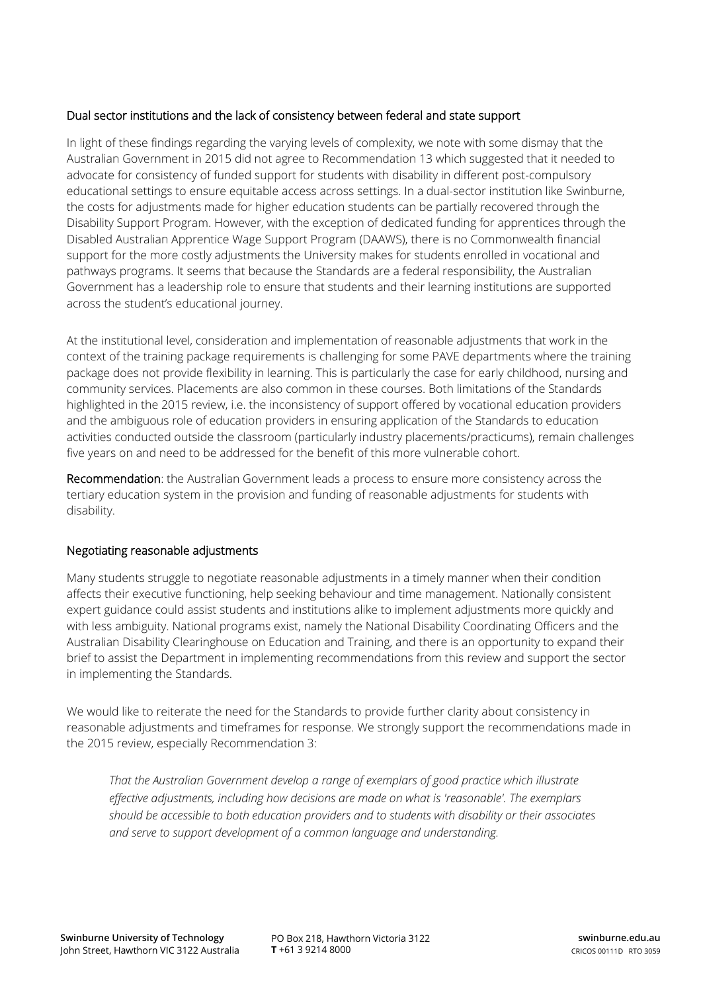### Dual sector institutions and the lack of consistency between federal and state support

In light of these findings regarding the varying levels of complexity, we note with some dismay that the Australian Government in 2015 did not agree to Recommendation 13 which suggested that it needed to advocate for consistency of funded support for students with disability in different post-compulsory educational settings to ensure equitable access across settings. In a dual-sector institution like Swinburne, the costs for adjustments made for higher education students can be partially recovered through the Disability Support Program. However, with the exception of dedicated funding for apprentices through the Disabled Australian Apprentice Wage Support Program (DAAWS), there is no Commonwealth financial support for the more costly adjustments the University makes for students enrolled in vocational and pathways programs. It seems that because the Standards are a federal responsibility, the Australian Government has a leadership role to ensure that students and their learning institutions are supported across the student's educational journey.

At the institutional level, consideration and implementation of reasonable adjustments that work in the context of the training package requirements is challenging for some PAVE departments where the training package does not provide flexibility in learning. This is particularly the case for early childhood, nursing and community services. Placements are also common in these courses. Both limitations of the Standards highlighted in the 2015 review, i.e. the inconsistency of support offered by vocational education providers and the ambiguous role of education providers in ensuring application of the Standards to education activities conducted outside the classroom (particularly industry placements/practicums), remain challenges five years on and need to be addressed for the benefit of this more vulnerable cohort.

Recommendation: the Australian Government leads a process to ensure more consistency across the tertiary education system in the provision and funding of reasonable adjustments for students with disability.

#### Negotiating reasonable adjustments

Many students struggle to negotiate reasonable adjustments in a timely manner when their condition affects their executive functioning, help seeking behaviour and time management. Nationally consistent expert guidance could assist students and institutions alike to implement adjustments more quickly and with less ambiguity. National programs exist, namely the National Disability Coordinating Officers and the Australian Disability Clearinghouse on Education and Training, and there is an opportunity to expand their brief to assist the Department in implementing recommendations from this review and support the sector in implementing the Standards.

We would like to reiterate the need for the Standards to provide further clarity about consistency in reasonable adjustments and timeframes for response. We strongly support the recommendations made in the 2015 review, especially Recommendation 3:

*That the Australian Government develop a range of exemplars of good practice which illustrate effective adjustments, including how decisions are made on what is 'reasonable'. The exemplars should be accessible to both education providers and to students with disability or their associates and serve to support development of a common language and understanding.*

PO Box 218, Hawthorn Victoria 3122 **T** +61 3 9214 8000